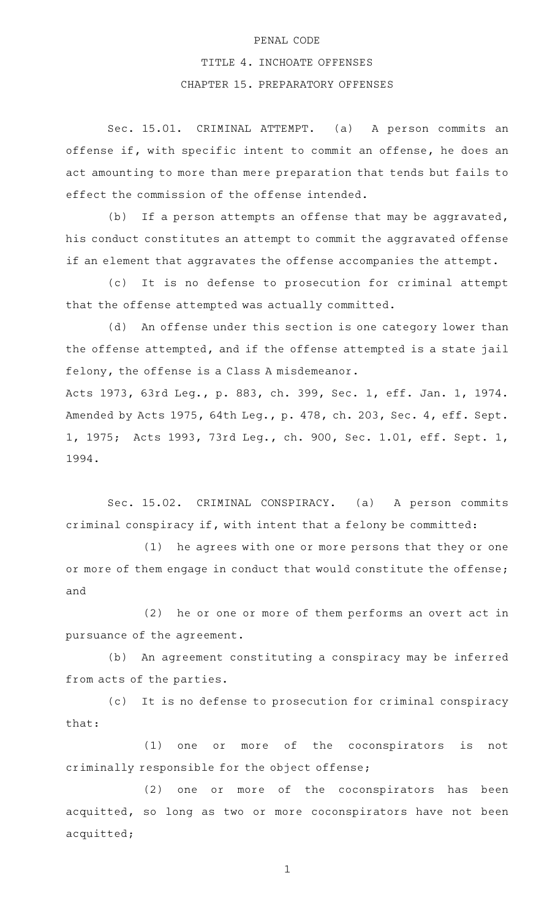## PENAL CODE

## TITLE 4. INCHOATE OFFENSES

## CHAPTER 15. PREPARATORY OFFENSES

Sec. 15.01. CRIMINAL ATTEMPT. (a) A person commits an offense if, with specific intent to commit an offense, he does an act amounting to more than mere preparation that tends but fails to effect the commission of the offense intended.

(b) If a person attempts an offense that may be aggravated, his conduct constitutes an attempt to commit the aggravated offense if an element that aggravates the offense accompanies the attempt.

(c) It is no defense to prosecution for criminal attempt that the offense attempted was actually committed.

(d) An offense under this section is one category lower than the offense attempted, and if the offense attempted is a state jail felony, the offense is a Class A misdemeanor.

Acts 1973, 63rd Leg., p. 883, ch. 399, Sec. 1, eff. Jan. 1, 1974. Amended by Acts 1975, 64th Leg., p. 478, ch. 203, Sec. 4, eff. Sept. 1, 1975; Acts 1993, 73rd Leg., ch. 900, Sec. 1.01, eff. Sept. 1, 1994.

Sec. 15.02. CRIMINAL CONSPIRACY. (a) A person commits criminal conspiracy if, with intent that a felony be committed:

(1) he agrees with one or more persons that they or one or more of them engage in conduct that would constitute the offense; and

 $(2)$  he or one or more of them performs an overt act in pursuance of the agreement.

(b) An agreement constituting a conspiracy may be inferred from acts of the parties.

(c) It is no defense to prosecution for criminal conspiracy that:

(1) one or more of the coconspirators is not criminally responsible for the object offense;

(2) one or more of the coconspirators has been acquitted, so long as two or more coconspirators have not been acquitted;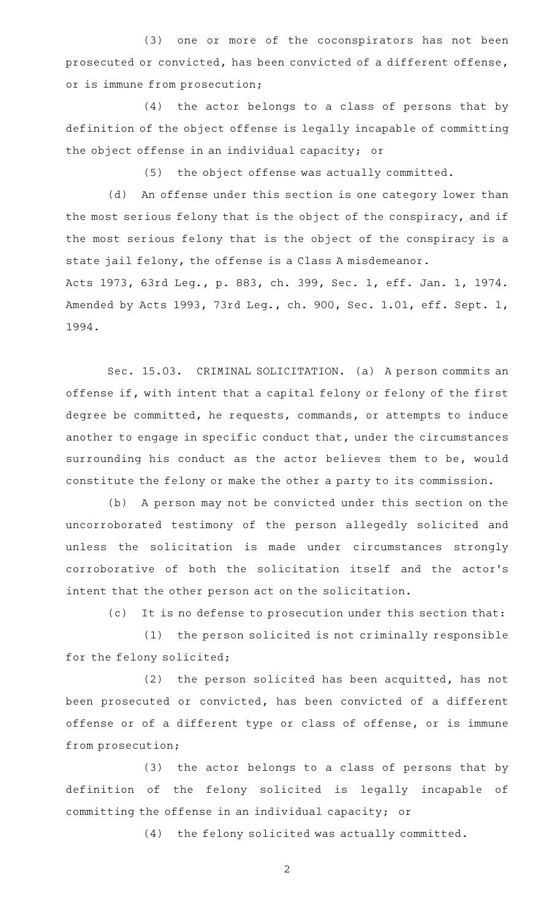(3) one or more of the coconspirators has not been prosecuted or convicted, has been convicted of a different offense, or is immune from prosecution;

 $(4)$  the actor belongs to a class of persons that by definition of the object offense is legally incapable of committing the object offense in an individual capacity; or

(5) the object offense was actually committed.

(d) An offense under this section is one category lower than the most serious felony that is the object of the conspiracy, and if the most serious felony that is the object of the conspiracy is a state jail felony, the offense is a Class A misdemeanor.

Acts 1973, 63rd Leg., p. 883, ch. 399, Sec. 1, eff. Jan. 1, 1974. Amended by Acts 1993, 73rd Leg., ch. 900, Sec. 1.01, eff. Sept. 1, 1994.

Sec. 15.03. CRIMINAL SOLICITATION. (a) A person commits an offense if, with intent that a capital felony or felony of the first degree be committed, he requests, commands, or attempts to induce another to engage in specific conduct that, under the circumstances surrounding his conduct as the actor believes them to be, would constitute the felony or make the other a party to its commission.

(b) A person may not be convicted under this section on the uncorroborated testimony of the person allegedly solicited and unless the solicitation is made under circumstances strongly corroborative of both the solicitation itself and the actor 's intent that the other person act on the solicitation.

(c) It is no defense to prosecution under this section that:

(1) the person solicited is not criminally responsible for the felony solicited;

 $(2)$  the person solicited has been acquitted, has not been prosecuted or convicted, has been convicted of a different offense or of a different type or class of offense, or is immune from prosecution;

(3) the actor belongs to a class of persons that by definition of the felony solicited is legally incapable of committing the offense in an individual capacity; or

(4) the felony solicited was actually committed.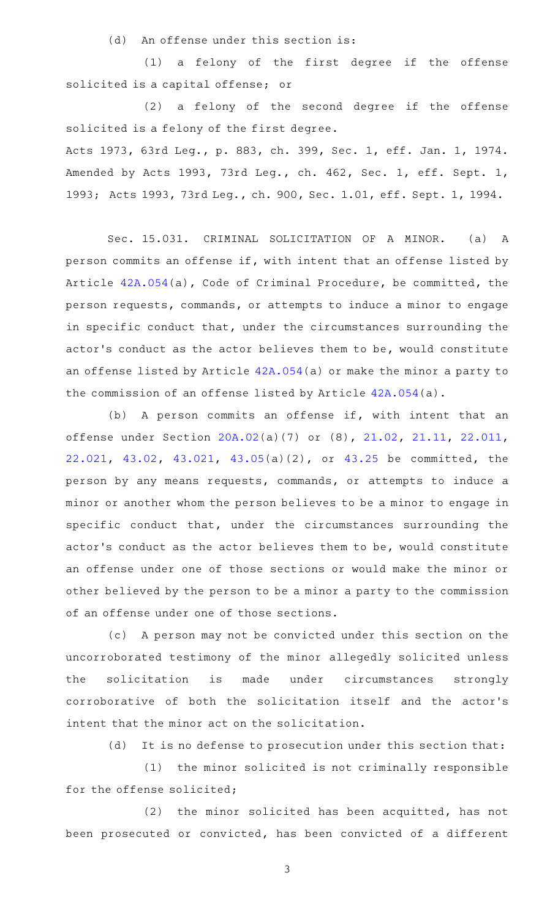(d) An offense under this section is:

(1) a felony of the first degree if the offense solicited is a capital offense; or

 $(2)$  a felony of the second degree if the offense solicited is a felony of the first degree.

Acts 1973, 63rd Leg., p. 883, ch. 399, Sec. 1, eff. Jan. 1, 1974. Amended by Acts 1993, 73rd Leg., ch. 462, Sec. 1, eff. Sept. 1, 1993; Acts 1993, 73rd Leg., ch. 900, Sec. 1.01, eff. Sept. 1, 1994.

Sec. 15.031. CRIMINAL SOLICITATION OF A MINOR. (a) A person commits an offense if, with intent that an offense listed by Article [42A.054\(](http://www.statutes.legis.state.tx.us/GetStatute.aspx?Code=CR&Value=42A.054)a), Code of Criminal Procedure, be committed, the person requests, commands, or attempts to induce a minor to engage in specific conduct that, under the circumstances surrounding the actor 's conduct as the actor believes them to be, would constitute an offense listed by Article [42A.054](http://www.statutes.legis.state.tx.us/GetStatute.aspx?Code=CR&Value=42A.054)(a) or make the minor a party to the commission of an offense listed by Article [42A.054](http://www.statutes.legis.state.tx.us/GetStatute.aspx?Code=CR&Value=42A.054)(a).

(b) A person commits an offense if, with intent that an offense under Section [20A.02](http://www.statutes.legis.state.tx.us/GetStatute.aspx?Code=PE&Value=20A.02)(a)(7) or (8), [21.02](http://www.statutes.legis.state.tx.us/GetStatute.aspx?Code=PE&Value=21.02), [21.11,](http://www.statutes.legis.state.tx.us/GetStatute.aspx?Code=PE&Value=21.11) [22.011](http://www.statutes.legis.state.tx.us/GetStatute.aspx?Code=PE&Value=22.011), [22.021](http://www.statutes.legis.state.tx.us/GetStatute.aspx?Code=PE&Value=22.021), [43.02](http://www.statutes.legis.state.tx.us/GetStatute.aspx?Code=PE&Value=43.02), [43.021,](http://www.statutes.legis.state.tx.us/GetStatute.aspx?Code=PE&Value=43.021) [43.05](http://www.statutes.legis.state.tx.us/GetStatute.aspx?Code=PE&Value=43.05)(a)(2), or [43.25](http://www.statutes.legis.state.tx.us/GetStatute.aspx?Code=PE&Value=43.25) be committed, the person by any means requests, commands, or attempts to induce a minor or another whom the person believes to be a minor to engage in specific conduct that, under the circumstances surrounding the actor 's conduct as the actor believes them to be, would constitute an offense under one of those sections or would make the minor or other believed by the person to be a minor a party to the commission of an offense under one of those sections.

(c) A person may not be convicted under this section on the uncorroborated testimony of the minor allegedly solicited unless the solicitation is made under circumstances strongly corroborative of both the solicitation itself and the actor 's intent that the minor act on the solicitation.

(d) It is no defense to prosecution under this section that:

(1) the minor solicited is not criminally responsible for the offense solicited;

 $(2)$  the minor solicited has been acquitted, has not been prosecuted or convicted, has been convicted of a different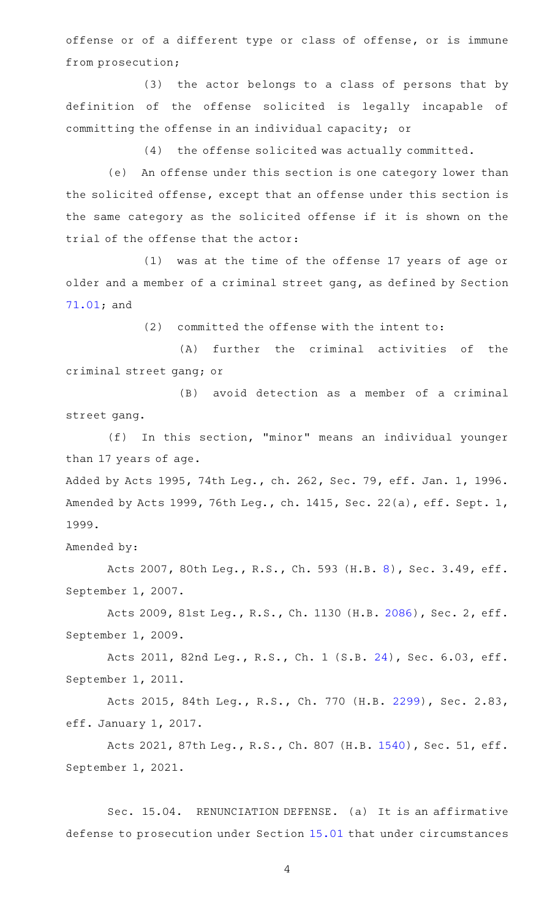offense or of a different type or class of offense, or is immune from prosecution;

(3) the actor belongs to a class of persons that by definition of the offense solicited is legally incapable of committing the offense in an individual capacity; or

(4) the offense solicited was actually committed.

(e) An offense under this section is one category lower than the solicited offense, except that an offense under this section is the same category as the solicited offense if it is shown on the trial of the offense that the actor:

(1) was at the time of the offense 17 years of age or older and a member of a criminal street gang, as defined by Section [71.01;](http://www.statutes.legis.state.tx.us/GetStatute.aspx?Code=PE&Value=71.01) and

 $(2)$  committed the offense with the intent to:

(A) further the criminal activities of the criminal street gang; or

(B) avoid detection as a member of a criminal street gang.

(f) In this section, "minor" means an individual younger than 17 years of age.

Added by Acts 1995, 74th Leg., ch. 262, Sec. 79, eff. Jan. 1, 1996. Amended by Acts 1999, 76th Leg., ch. 1415, Sec. 22(a), eff. Sept. 1, 1999.

Amended by:

Acts 2007, 80th Leg., R.S., Ch. 593 (H.B. [8\)](http://www.legis.state.tx.us/tlodocs/80R/billtext/html/HB00008F.HTM), Sec. 3.49, eff. September 1, 2007.

Acts 2009, 81st Leg., R.S., Ch. 1130 (H.B. [2086](http://www.legis.state.tx.us/tlodocs/81R/billtext/html/HB02086F.HTM)), Sec. 2, eff. September 1, 2009.

Acts 2011, 82nd Leg., R.S., Ch. 1 (S.B. [24\)](http://www.legis.state.tx.us/tlodocs/82R/billtext/html/SB00024F.HTM), Sec. 6.03, eff. September 1, 2011.

Acts 2015, 84th Leg., R.S., Ch. 770 (H.B. [2299\)](http://www.legis.state.tx.us/tlodocs/84R/billtext/html/HB02299F.HTM), Sec. 2.83, eff. January 1, 2017.

Acts 2021, 87th Leg., R.S., Ch. 807 (H.B. [1540\)](http://www.legis.state.tx.us/tlodocs/87R/billtext/html/HB01540F.HTM), Sec. 51, eff. September 1, 2021.

Sec. 15.04. RENUNCIATION DEFENSE. (a) It is an affirmative defense to prosecution under Section [15.01](http://www.statutes.legis.state.tx.us/GetStatute.aspx?Code=PE&Value=15.01) that under circumstances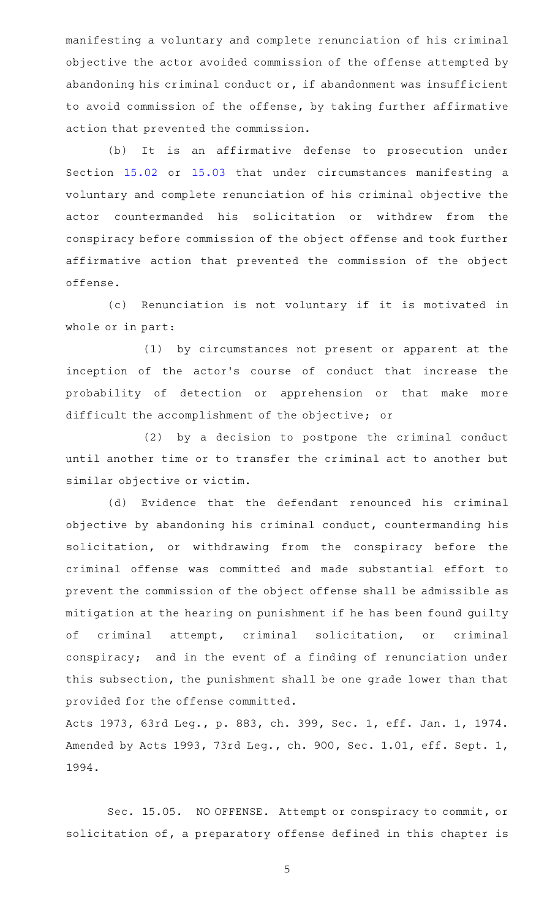manifesting a voluntary and complete renunciation of his criminal objective the actor avoided commission of the offense attempted by abandoning his criminal conduct or, if abandonment was insufficient to avoid commission of the offense, by taking further affirmative action that prevented the commission.

(b) It is an affirmative defense to prosecution under Section [15.02](http://www.statutes.legis.state.tx.us/GetStatute.aspx?Code=PE&Value=15.02) or [15.03](http://www.statutes.legis.state.tx.us/GetStatute.aspx?Code=PE&Value=15.03) that under circumstances manifesting a voluntary and complete renunciation of his criminal objective the actor countermanded his solicitation or withdrew from the conspiracy before commission of the object offense and took further affirmative action that prevented the commission of the object offense.

(c) Renunciation is not voluntary if it is motivated in whole or in part:

(1) by circumstances not present or apparent at the inception of the actor 's course of conduct that increase the probability of detection or apprehension or that make more difficult the accomplishment of the objective; or

(2) by a decision to postpone the criminal conduct until another time or to transfer the criminal act to another but similar objective or victim.

(d) Evidence that the defendant renounced his criminal objective by abandoning his criminal conduct, countermanding his solicitation, or withdrawing from the conspiracy before the criminal offense was committed and made substantial effort to prevent the commission of the object offense shall be admissible as mitigation at the hearing on punishment if he has been found guilty of criminal attempt, criminal solicitation, or criminal conspiracy; and in the event of a finding of renunciation under this subsection, the punishment shall be one grade lower than that provided for the offense committed.

Acts 1973, 63rd Leg., p. 883, ch. 399, Sec. 1, eff. Jan. 1, 1974. Amended by Acts 1993, 73rd Leg., ch. 900, Sec. 1.01, eff. Sept. 1, 1994.

Sec. 15.05. NO OFFENSE. Attempt or conspiracy to commit, or solicitation of, a preparatory offense defined in this chapter is